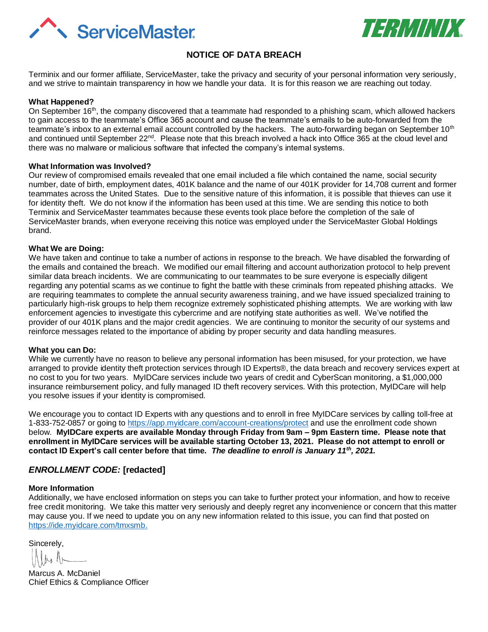



# **NOTICE OF DATA BREACH**

Terminix and our former affiliate, ServiceMaster, take the privacy and security of your personal information very seriously, and we strive to maintain transparency in how we handle your data. It is for this reason we are reaching out today.

### **What Happened?**

On September 16<sup>th</sup>, the company discovered that a teammate had responded to a phishing scam, which allowed hackers to gain access to the teammate's Office 365 account and cause the teammate's emails to be auto-forwarded from the teammate's inbox to an external email account controlled by the hackers. The auto-forwarding began on September 10<sup>th</sup> and continued until September 22<sup>nd</sup>. Please note that this breach involved a hack into Office 365 at the cloud level and there was no malware or malicious software that infected the company's internal systems.

#### **What Information was Involved?**

Our review of compromised emails revealed that one email included a file which contained the name, social security number, date of birth, employment dates, 401K balance and the name of our 401K provider for 14,708 current and former teammates across the United States. Due to the sensitive nature of this information, it is possible that thieves can use it for identity theft. We do not know if the information has been used at this time. We are sending this notice to both Terminix and ServiceMaster teammates because these events took place before the completion of the sale of ServiceMaster brands, when everyone receiving this notice was employed under the ServiceMaster Global Holdings brand.

#### **What We are Doing:**

We have taken and continue to take a number of actions in response to the breach. We have disabled the forwarding of the emails and contained the breach. We modified our email filtering and account authorization protocol to help prevent similar data breach incidents. We are communicating to our teammates to be sure everyone is especially diligent regarding any potential scams as we continue to fight the battle with these criminals from repeated phishing attacks. We are requiring teammates to complete the annual security awareness training, and we have issued specialized training to particularly high-risk groups to help them recognize extremely sophisticated phishing attempts. We are working with law enforcement agencies to investigate this cybercrime and are notifying state authorities as well. We've notified the provider of our 401K plans and the major credit agencies. We are continuing to monitor the security of our systems and reinforce messages related to the importance of abiding by proper security and data handling measures.

#### **What you can Do:**

While we currently have no reason to believe any personal information has been misused, for your protection, we have arranged to provide identity theft protection services through ID Experts®, the data breach and recovery services expert at no cost to you for two years. MyIDCare services include two years of credit and CyberScan monitoring, a \$1,000,000 insurance reimbursement policy, and fully managed ID theft recovery services. With this protection, MyIDCare will help you resolve issues if your identity is compromised.

We encourage you to contact ID Experts with any questions and to enroll in free MyIDCare services by calling toll-free at 1-833-752-0857 or going to<https://app.myidcare.com/account-creations/protect> and use the enrollment code shown below. **MyIDCare experts are available Monday through Friday from 9am – 9pm Eastern time. Please note that enrollment in MyIDCare services will be available starting October 13, 2021. Please do not attempt to enroll or contact ID Expert's call center before that time.** *The deadline to enroll is January 11th, 2021.*

### *ENROLLMENT CODE:* **[redacted]**

### **More Information**

Additionally, we have enclosed information on steps you can take to further protect your information, and how to receive free credit monitoring. We take this matter very seriously and deeply regret any inconvenience or concern that this matter may cause you. If we need to update you on any new information related to this issue, you can find that posted on [https://ide.myidcare.com/tmxsmb.](https://ide.myidcare.com/tmxsmb)

Sincerely,

Marcus A. McDaniel Chief Ethics & Compliance Officer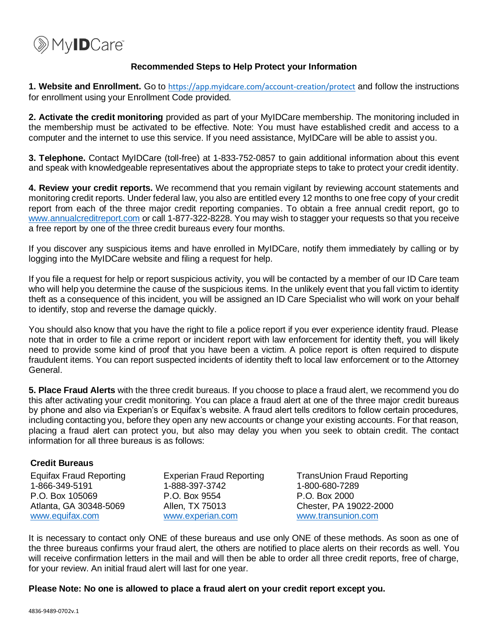

### **Recommended Steps to Help Protect your Information**

**1. Website and Enrollment.** Go to <https://app.myidcare.com/account-creation/protect> and follow the instructions for enrollment using your Enrollment Code provided.

**2. Activate the credit monitoring** provided as part of your MyIDCare membership. The monitoring included in the membership must be activated to be effective. Note: You must have established credit and access to a computer and the internet to use this service. If you need assistance, MyIDCare will be able to assist you.

**3. Telephone.** Contact MyIDCare (toll-free) at 1-833-752-0857 to gain additional information about this event and speak with knowledgeable representatives about the appropriate steps to take to protect your credit identity.

**4. Review your credit reports.** We recommend that you remain vigilant by reviewing account statements and monitoring credit reports. Under federal law, you also are entitled every 12 months to one free copy of your credit report from each of the three major credit reporting companies. To obtain a free annual credit report, go to [www.annualcreditreport.com](http://www.annualcreditreport.com/) or call 1-877-322-8228. You may wish to stagger your requests so that you receive a free report by one of the three credit bureaus every four months.

If you discover any suspicious items and have enrolled in MyIDCare, notify them immediately by calling or by logging into the MyIDCare website and filing a request for help.

If you file a request for help or report suspicious activity, you will be contacted by a member of our ID Care team who will help you determine the cause of the suspicious items. In the unlikely event that you fall victim to identity theft as a consequence of this incident, you will be assigned an ID Care Specialist who will work on your behalf to identify, stop and reverse the damage quickly.

You should also know that you have the right to file a police report if you ever experience identity fraud. Please note that in order to file a crime report or incident report with law enforcement for identity theft, you will likely need to provide some kind of proof that you have been a victim. A police report is often required to dispute fraudulent items. You can report suspected incidents of identity theft to local law enforcement or to the Attorney General.

**5. Place Fraud Alerts** with the three credit bureaus. If you choose to place a fraud alert, we recommend you do this after activating your credit monitoring. You can place a fraud alert at one of the three major credit bureaus by phone and also via Experian's or Equifax's website. A fraud alert tells creditors to follow certain procedures, including contacting you, before they open any new accounts or change your existing accounts. For that reason, placing a fraud alert can protect you, but also may delay you when you seek to obtain credit. The contact information for all three bureaus is as follows:

## **Credit Bureaus**

| <b>Equifax Fraud Reporting</b> | <b>Experian Fraud Reporting</b> |
|--------------------------------|---------------------------------|
| 1-866-349-5191                 | 1-888-397-3742                  |
| P.O. Box 105069                | P.O. Box 9554                   |
| Atlanta, GA 30348-5069         | Allen, TX 75013                 |
| www.equifax.com                | www.experian.com                |

TransUnion Fraud Reporting 1-800-680-7289 P.O. Box 2000 Chester, PA 19022-2000 [www.transunion.com](http://www.transunion.com/)

It is necessary to contact only ONE of these bureaus and use only ONE of these methods. As soon as one of the three bureaus confirms your fraud alert, the others are notified to place alerts on their records as well. You will receive confirmation letters in the mail and will then be able to order all three credit reports, free of charge, for your review. An initial fraud alert will last for one year.

### **Please Note: No one is allowed to place a fraud alert on your credit report except you.**